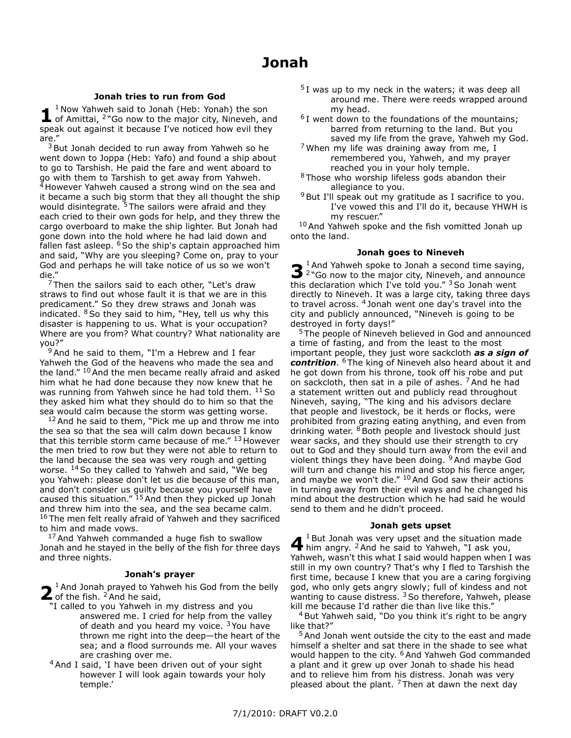## **Jonah tries to run from God**

**1**  $<sup>1</sup>$  Now Yahweh said to Jonah (Heb: Yonah) the son</sup> of Amittai,  $2^n$ Go now to the major city, Nineveh, and speak out against it because I've noticed how evil they are."

 $3$  But Jonah decided to run away from Yahweh so he went down to Joppa (Heb: Yafo) and found a ship about to go to Tarshish. He paid the fare and went aboard to go with them to Tarshish to get away from Yahweh. <sup>4</sup> However Yahweh caused a strong wind on the sea and it became a such big storm that they all thought the ship would disintegrate. <sup>5</sup> The sailors were afraid and they each cried to their own gods for help, and they threw the cargo overboard to make the ship lighter. But Jonah had gone down into the hold where he had laid down and fallen fast asleep.  $6$  So the ship's captain approached him and said, "Why are you sleeping? Come on, pray to your God and perhaps he will take notice of us so we won't die."

 $7$ Then the sailors said to each other, "Let's draw straws to find out whose fault it is that we are in this predicament." So they drew straws and Jonah was indicated.  $8$  So they said to him, "Hey, tell us why this disaster is happening to us. What is your occupation? Where are you from? What country? What nationality are you?"

<sup>9</sup> And he said to them, "I'm a Hebrew and I fear Yahweh the God of the heavens who made the sea and the land."  $10$  And the men became really afraid and asked him what he had done because they now knew that he was running from Yahweh since he had told them.  $^{11}$  So they asked him what they should do to him so that the sea would calm because the storm was getting worse.

 $12$  And he said to them, "Pick me up and throw me into the sea so that the sea will calm down because I know that this terrible storm came because of me." 13 However the men tried to row but they were not able to return to the land because the sea was very rough and getting worse. <sup>14</sup> So they called to Yahweh and said, "We beg you Yahweh: please don't let us die because of this man, and don't consider us guilty because you yourself have caused this situation."  $15$  And then they picked up Jonah and threw him into the sea, and the sea became calm. <sup>16</sup> The men felt really afraid of Yahweh and they sacrificed to him and made vows.

<sup>17</sup> And Yahweh commanded a huge fish to swallow Jonah and he stayed in the belly of the fish for three days and three nights.

## **Jonah's prayer**

**2** And Jonah prayed to Yal  $\bullet$  <sup>1</sup> And Jonah prayed to Yahweh his God from the belly

- "I called to you Yahweh in my distress and you answered me. I cried for help from the valley of death and you heard my voice.  $3$  You have thrown me right into the deep—the heart of the sea; and a flood surrounds me. All your waves are crashing over me.
- <sup>4</sup> And I said, 'I have been driven out of your sight however I will look again towards your holy temple.'
- $5I$  was up to my neck in the waters; it was deep all around me. There were reeds wrapped around my head.
- $6$ I went down to the foundations of the mountains; barred from returning to the land. But you saved my life from the grave, Yahweh my God.
- $7$  When my life was draining away from me, I remembered you, Yahweh, and my prayer reached you in your holy temple.
- <sup>8</sup> Those who worship lifeless gods abandon their allegiance to you.
- $9$ But I'll speak out my gratitude as I sacrifice to you. I've vowed this and I'll do it, because YHWH is my rescuer."

<sup>10</sup> And Yahweh spoke and the fish vomitted Jonah up onto the land.

## **Jonah goes to Nineveh**

**3** <sup>1</sup>And Yahweh spoke to Jonah a second time saying,<br><sup>3</sup> <sup>2</sup> Go now to the major city, Nineveh, and announce  $1$ And Yahweh spoke to Jonah a second time saying, this declaration which I've told you."  $3$  So Jonah went directly to Nineveh. It was a large city, taking three days to travel across. <sup>4</sup> Jonah went one day's travel into the city and publicly announced, "Nineveh is going to be destroyed in forty days!"

<sup>5</sup> The people of Nineveh believed in God and announced a time of fasting, and from the least to the most important people, they just wore sackcloth *as a sign of contrition*. <sup>6</sup> The king of Nineveh also heard about it and he got down from his throne, took off his robe and put on sackcloth, then sat in a pile of ashes. <sup>7</sup> And he had a statement written out and publicly read throughout Nineveh, saying, "The king and his advisors declare that people and livestock, be it herds or flocks, were prohibited from grazing eating anything, and even from drinking water.  $8$  Both people and livestock should just wear sacks, and they should use their strength to cry out to God and they should turn away from the evil and violent things they have been doing. <sup>9</sup> And maybe God will turn and change his mind and stop his fierce anger, and maybe we won't die."  $10$  And God saw their actions in turning away from their evil ways and he changed his mind about the destruction which he had said he would send to them and he didn't proceed.

## **Jonah gets upset**

**4** <sup>1</sup> But Jonah was very upset and the situation ma  $1$  But Jonah was very upset and the situation made Yahweh, wasn't this what I said would happen when I was still in my own country? That's why I fled to Tarshish the first time, because I knew that you are a caring forgiving god, who only gets angry slowly; full of kindess and not wanting to cause distress. <sup>3</sup> So therefore, Yahweh, please kill me because I'd rather die than live like this."

<sup>4</sup> But Yahweh said, "Do you think it's right to be angry like that?"

<sup>5</sup> And Jonah went outside the city to the east and made himself a shelter and sat there in the shade to see what would happen to the city. <sup>6</sup> And Yahweh God commanded a plant and it grew up over Jonah to shade his head and to relieve him from his distress. Jonah was very pleased about the plant.  $7$ Then at dawn the next day